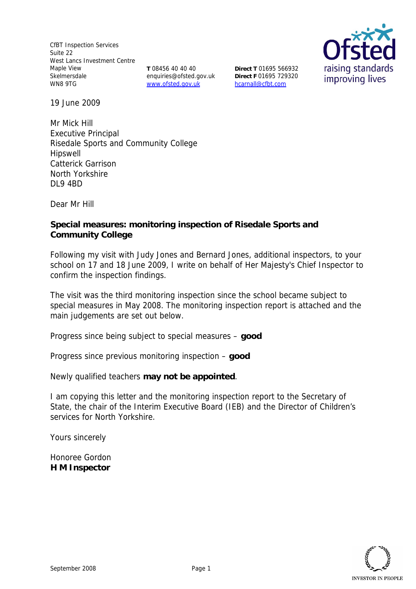CfBT Inspection Services Suite 22 West Lancs Investment Centre Maple View Skelmersdale WN8 9TG

**T** 08456 40 40 40 enquiries@ofsted.gov.uk www.ofsted.gov.uk

**Direct T** 01695 566932 **Direct F** 01695 729320 hcarnall@cfbt.com



19 June 2009

Mr Mick Hill Executive Principal Risedale Sports and Community College Hipswell Catterick Garrison North Yorkshire DL9 4BD

Dear Mr Hill

**Special measures: monitoring inspection of Risedale Sports and Community College**

Following my visit with Judy Jones and Bernard Jones, additional inspectors, to your school on 17 and 18 June 2009, I write on behalf of Her Majesty's Chief Inspector to confirm the inspection findings.

The visit was the third monitoring inspection since the school became subject to special measures in May 2008. The monitoring inspection report is attached and the main judgements are set out below.

Progress since being subject to special measures – **good** 

Progress since previous monitoring inspection – **good** 

Newly qualified teachers **may not be appointed**.

I am copying this letter and the monitoring inspection report to the Secretary of State, the chair of the Interim Executive Board (IEB) and the Director of Children's services for North Yorkshire.

Yours sincerely

Honoree Gordon **H M Inspector**

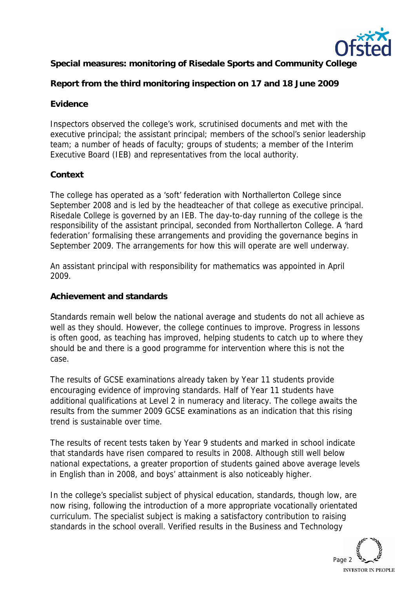

**Special measures: monitoring of Risedale Sports and Community College**

**Report from the third monitoring inspection on 17 and 18 June 2009**

## **Evidence**

Inspectors observed the college's work, scrutinised documents and met with the executive principal; the assistant principal; members of the school's senior leadership team; a number of heads of faculty; groups of students; a member of the Interim Executive Board (IEB) and representatives from the local authority.

## **Context**

The college has operated as a 'soft' federation with Northallerton College since September 2008 and is led by the headteacher of that college as executive principal. Risedale College is governed by an IEB. The day-to-day running of the college is the responsibility of the assistant principal, seconded from Northallerton College. A 'hard federation' formalising these arrangements and providing the governance begins in September 2009. The arrangements for how this will operate are well underway.

An assistant principal with responsibility for mathematics was appointed in April 2009.

### **Achievement and standards**

Standards remain well below the national average and students do not all achieve as well as they should. However, the college continues to improve. Progress in lessons is often good, as teaching has improved, helping students to catch up to where they should be and there is a good programme for intervention where this is not the case.

The results of GCSE examinations already taken by Year 11 students provide encouraging evidence of improving standards. Half of Year 11 students have additional qualifications at Level 2 in numeracy and literacy. The college awaits the results from the summer 2009 GCSE examinations as an indication that this rising trend is sustainable over time.

The results of recent tests taken by Year 9 students and marked in school indicate that standards have risen compared to results in 2008. Although still well below national expectations, a greater proportion of students gained above average levels in English than in 2008, and boys' attainment is also noticeably higher.

In the college's specialist subject of physical education, standards, though low, are now rising, following the introduction of a more appropriate vocationally orientated curriculum. The specialist subject is making a satisfactory contribution to raising standards in the school overall. Verified results in the Business and Technology

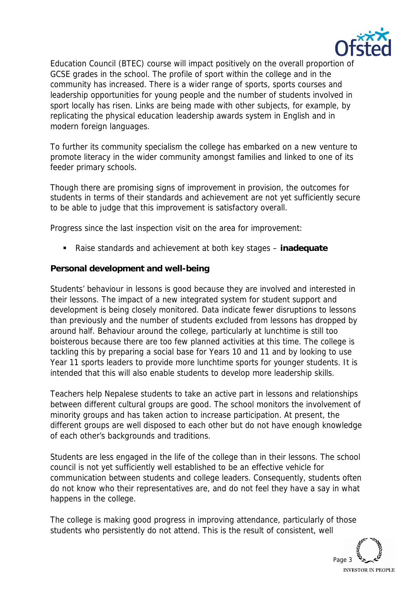

Education Council (BTEC) course will impact positively on the overall proportion of GCSE grades in the school. The profile of sport within the college and in the community has increased. There is a wider range of sports, sports courses and leadership opportunities for young people and the number of students involved in sport locally has risen. Links are being made with other subjects, for example, by replicating the physical education leadership awards system in English and in modern foreign languages.

To further its community specialism the college has embarked on a new venture to promote literacy in the wider community amongst families and linked to one of its feeder primary schools.

Though there are promising signs of improvement in provision, the outcomes for students in terms of their standards and achievement are not yet sufficiently secure to be able to judge that this improvement is satisfactory overall.

Progress since the last inspection visit on the area for improvement:

Raise standards and achievement at both key stages – **inadequate**

**Personal development and well-being**

Students' behaviour in lessons is good because they are involved and interested in their lessons. The impact of a new integrated system for student support and development is being closely monitored. Data indicate fewer disruptions to lessons than previously and the number of students excluded from lessons has dropped by around half. Behaviour around the college, particularly at lunchtime is still too boisterous because there are too few planned activities at this time. The college is tackling this by preparing a social base for Years 10 and 11 and by looking to use Year 11 sports leaders to provide more lunchtime sports for younger students. It is intended that this will also enable students to develop more leadership skills.

Teachers help Nepalese students to take an active part in lessons and relationships between different cultural groups are good. The school monitors the involvement of minority groups and has taken action to increase participation. At present, the different groups are well disposed to each other but do not have enough knowledge of each other's backgrounds and traditions.

Students are less engaged in the life of the college than in their lessons. The school council is not yet sufficiently well established to be an effective vehicle for communication between students and college leaders. Consequently, students often do not know who their representatives are, and do not feel they have a say in what happens in the college.

The college is making good progress in improving attendance, particularly of those students who persistently do not attend. This is the result of consistent, well

Page 3 **INVESTOR IN PEOPLE**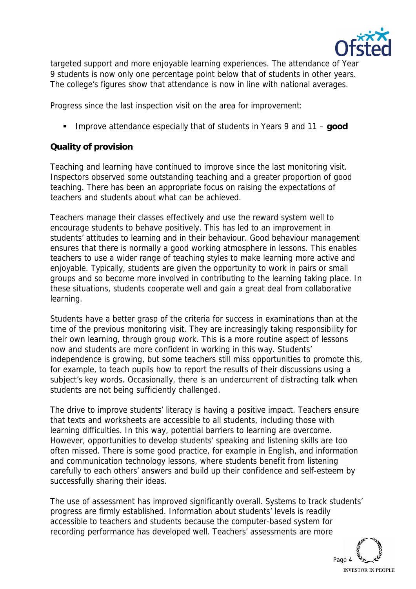

targeted support and more enjoyable learning experiences. The attendance of Year 9 students is now only one percentage point below that of students in other years. The college's figures show that attendance is now in line with national averages.

Progress since the last inspection visit on the area for improvement:

Improve attendance especially that of students in Years 9 and 11 – **good** 

# **Quality of provision**

Teaching and learning have continued to improve since the last monitoring visit. Inspectors observed some outstanding teaching and a greater proportion of good teaching. There has been an appropriate focus on raising the expectations of teachers and students about what can be achieved.

Teachers manage their classes effectively and use the reward system well to encourage students to behave positively. This has led to an improvement in students' attitudes to learning and in their behaviour. Good behaviour management ensures that there is normally a good working atmosphere in lessons. This enables teachers to use a wider range of teaching styles to make learning more active and enjoyable. Typically, students are given the opportunity to work in pairs or small groups and so become more involved in contributing to the learning taking place. In these situations, students cooperate well and gain a great deal from collaborative learning.

Students have a better grasp of the criteria for success in examinations than at the time of the previous monitoring visit. They are increasingly taking responsibility for their own learning, through group work. This is a more routine aspect of lessons now and students are more confident in working in this way. Students' independence is growing, but some teachers still miss opportunities to promote this, for example, to teach pupils how to report the results of their discussions using a subject's key words. Occasionally, there is an undercurrent of distracting talk when students are not being sufficiently challenged.

The drive to improve students' literacy is having a positive impact. Teachers ensure that texts and worksheets are accessible to all students, including those with learning difficulties. In this way, potential barriers to learning are overcome. However, opportunities to develop students' speaking and listening skills are too often missed. There is some good practice, for example in English, and information and communication technology lessons, where students benefit from listening carefully to each others' answers and build up their confidence and self-esteem by successfully sharing their ideas.

The use of assessment has improved significantly overall. Systems to track students' progress are firmly established. Information about students' levels is readily accessible to teachers and students because the computer-based system for recording performance has developed well. Teachers' assessments are more

Page 4 **INVESTOR IN PEOPLE**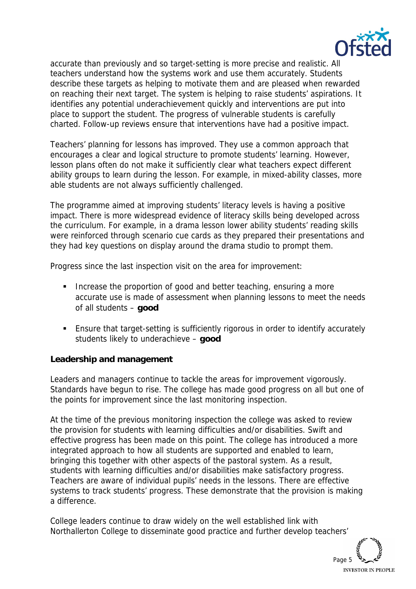

accurate than previously and so target-setting is more precise and realistic. All teachers understand how the systems work and use them accurately. Students describe these targets as helping to motivate them and are pleased when rewarded on reaching their next target. The system is helping to raise students' aspirations. It identifies any potential underachievement quickly and interventions are put into place to support the student. The progress of vulnerable students is carefully charted. Follow-up reviews ensure that interventions have had a positive impact.

Teachers' planning for lessons has improved. They use a common approach that encourages a clear and logical structure to promote students' learning. However, lesson plans often do not make it sufficiently clear what teachers expect different ability groups to learn during the lesson. For example, in mixed-ability classes, more able students are not always sufficiently challenged.

The programme aimed at improving students' literacy levels is having a positive impact. There is more widespread evidence of literacy skills being developed across the curriculum. For example, in a drama lesson lower ability students' reading skills were reinforced through scenario cue cards as they prepared their presentations and they had key questions on display around the drama studio to prompt them.

Progress since the last inspection visit on the area for improvement:

- Increase the proportion of good and better teaching, ensuring a more accurate use is made of assessment when planning lessons to meet the needs of all students – **good**
- Ensure that target-setting is sufficiently rigorous in order to identify accurately students likely to underachieve – **good**

**Leadership and management**

Leaders and managers continue to tackle the areas for improvement vigorously. Standards have begun to rise. The college has made good progress on all but one of the points for improvement since the last monitoring inspection.

At the time of the previous monitoring inspection the college was asked to review the provision for students with learning difficulties and/or disabilities. Swift and effective progress has been made on this point. The college has introduced a more integrated approach to how all students are supported and enabled to learn, bringing this together with other aspects of the pastoral system. As a result, students with learning difficulties and/or disabilities make satisfactory progress. Teachers are aware of individual pupils' needs in the lessons. There are effective systems to track students' progress. These demonstrate that the provision is making a difference.

College leaders continue to draw widely on the well established link with Northallerton College to disseminate good practice and further develop teachers'

Page 5 **INVESTOR IN PEOPLE**